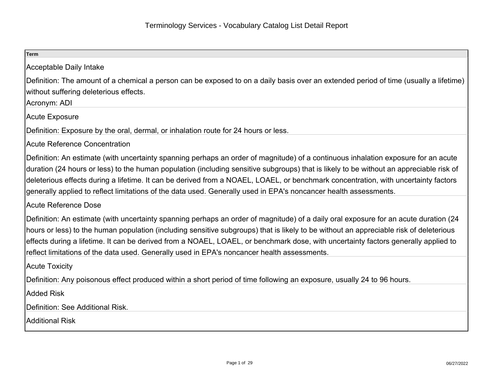| <b>Term</b>                                                                                                                             |
|-----------------------------------------------------------------------------------------------------------------------------------------|
| Acceptable Daily Intake                                                                                                                 |
| Definition: The amount of a chemical a person can be exposed to on a daily basis over an extended period of time (usually a lifetime)   |
| without suffering deleterious effects.                                                                                                  |
| Acronym: ADI                                                                                                                            |
| Acute Exposure                                                                                                                          |
| Definition: Exposure by the oral, dermal, or inhalation route for 24 hours or less.                                                     |
| <b>Acute Reference Concentration</b>                                                                                                    |
| Definition: An estimate (with uncertainty spanning perhaps an order of magnitude) of a continuous inhalation exposure for an acute      |
| duration (24 hours or less) to the human population (including sensitive subgroups) that is likely to be without an appreciable risk of |
| deleterious effects during a lifetime. It can be derived from a NOAEL, LOAEL, or benchmark concentration, with uncertainty factors      |
| generally applied to reflect limitations of the data used. Generally used in EPA's noncancer health assessments.                        |
| Acute Reference Dose                                                                                                                    |
| Definition: An estimate (with uncertainty spanning perhaps an order of magnitude) of a daily oral exposure for an acute duration (24    |
| hours or less) to the human population (including sensitive subgroups) that is likely to be without an appreciable risk of deleterious  |
| effects during a lifetime. It can be derived from a NOAEL, LOAEL, or benchmark dose, with uncertainty factors generally applied to      |
| reflect limitations of the data used. Generally used in EPA's noncancer health assessments.                                             |
| <b>Acute Toxicity</b>                                                                                                                   |
| Definition: Any poisonous effect produced within a short period of time following an exposure, usually 24 to 96 hours.                  |
| <b>Added Risk</b>                                                                                                                       |
| Definition: See Additional Risk.                                                                                                        |
| Additional Risk                                                                                                                         |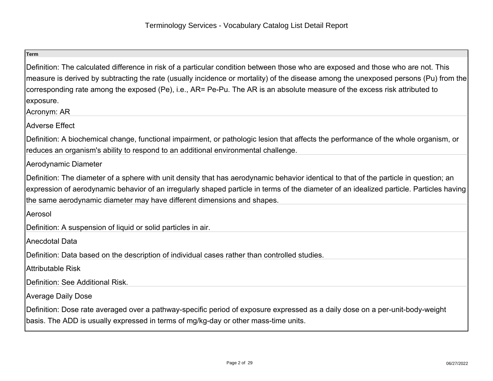| <b>Term</b>                                                                                                                                                                                                                                                                                                                                                                                                                         |
|-------------------------------------------------------------------------------------------------------------------------------------------------------------------------------------------------------------------------------------------------------------------------------------------------------------------------------------------------------------------------------------------------------------------------------------|
| Definition: The calculated difference in risk of a particular condition between those who are exposed and those who are not. This<br>measure is derived by subtracting the rate (usually incidence or mortality) of the disease among the unexposed persons (Pu) from the<br>corresponding rate among the exposed (Pe), i.e., AR= Pe-Pu. The AR is an absolute measure of the excess risk attributed to<br>exposure.<br>Acronym: AR |
| Adverse Effect                                                                                                                                                                                                                                                                                                                                                                                                                      |
| Definition: A biochemical change, functional impairment, or pathologic lesion that affects the performance of the whole organism, or<br>reduces an organism's ability to respond to an additional environmental challenge.                                                                                                                                                                                                          |
| Aerodynamic Diameter                                                                                                                                                                                                                                                                                                                                                                                                                |
| Definition: The diameter of a sphere with unit density that has aerodynamic behavior identical to that of the particle in question; an<br>expression of aerodynamic behavior of an irregularly shaped particle in terms of the diameter of an idealized particle. Particles having<br>the same aerodynamic diameter may have different dimensions and shapes.                                                                       |
| Aerosol                                                                                                                                                                                                                                                                                                                                                                                                                             |
| Definition: A suspension of liquid or solid particles in air.                                                                                                                                                                                                                                                                                                                                                                       |
| Anecdotal Data                                                                                                                                                                                                                                                                                                                                                                                                                      |
| Definition: Data based on the description of individual cases rather than controlled studies.                                                                                                                                                                                                                                                                                                                                       |
| Attributable Risk                                                                                                                                                                                                                                                                                                                                                                                                                   |
| Definition: See Additional Risk.                                                                                                                                                                                                                                                                                                                                                                                                    |
| <b>Average Daily Dose</b>                                                                                                                                                                                                                                                                                                                                                                                                           |
| Definition: Dose rate averaged over a pathway-specific period of exposure expressed as a daily dose on a per-unit-body-weight<br>basis. The ADD is usually expressed in terms of mg/kg-day or other mass-time units.                                                                                                                                                                                                                |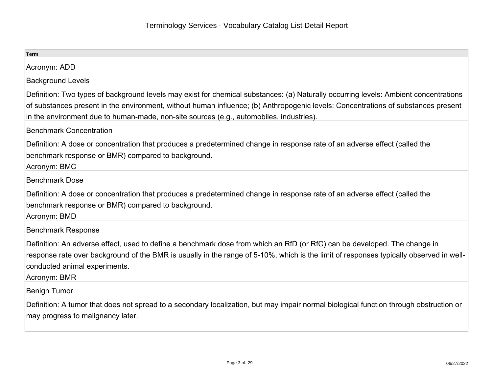| Term                                                                                                                                                                                                                                                                                                                 |
|----------------------------------------------------------------------------------------------------------------------------------------------------------------------------------------------------------------------------------------------------------------------------------------------------------------------|
| Acronym: ADD                                                                                                                                                                                                                                                                                                         |
| <b>Background Levels</b>                                                                                                                                                                                                                                                                                             |
| Definition: Two types of background levels may exist for chemical substances: (a) Naturally occurring levels: Ambient concentrations                                                                                                                                                                                 |
| of substances present in the environment, without human influence; (b) Anthropogenic levels: Concentrations of substances present<br>in the environment due to human-made, non-site sources (e.g., automobiles, industries).                                                                                         |
| <b>Benchmark Concentration</b>                                                                                                                                                                                                                                                                                       |
| Definition: A dose or concentration that produces a predetermined change in response rate of an adverse effect (called the<br>benchmark response or BMR) compared to background.<br>Acronym: BMC                                                                                                                     |
| <b>Benchmark Dose</b>                                                                                                                                                                                                                                                                                                |
| Definition: A dose or concentration that produces a predetermined change in response rate of an adverse effect (called the<br>benchmark response or BMR) compared to background.<br>Acronym: BMD                                                                                                                     |
| <b>Benchmark Response</b>                                                                                                                                                                                                                                                                                            |
| Definition: An adverse effect, used to define a benchmark dose from which an RfD (or RfC) can be developed. The change in<br>response rate over background of the BMR is usually in the range of 5-10%, which is the limit of responses typically observed in well-<br>conducted animal experiments.<br>Acronym: BMR |
| <b>Benign Tumor</b>                                                                                                                                                                                                                                                                                                  |
| Definition: A tumor that does not spread to a secondary localization, but may impair normal biological function through obstruction or<br>may progress to malignancy later.                                                                                                                                          |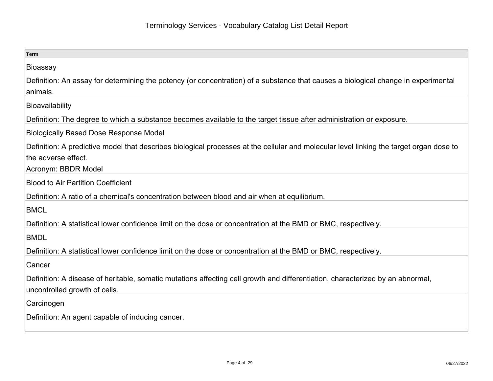| Term                                                                                                                                                                                  |
|---------------------------------------------------------------------------------------------------------------------------------------------------------------------------------------|
| Bioassay                                                                                                                                                                              |
| Definition: An assay for determining the potency (or concentration) of a substance that causes a biological change in experimental<br>lanimals.                                       |
| Bioavailability                                                                                                                                                                       |
| Definition: The degree to which a substance becomes available to the target tissue after administration or exposure.                                                                  |
| <b>Biologically Based Dose Response Model</b>                                                                                                                                         |
| Definition: A predictive model that describes biological processes at the cellular and molecular level linking the target organ dose to<br>the adverse effect.<br>Acronym: BBDR Model |
| <b>Blood to Air Partition Coefficient</b>                                                                                                                                             |
| Definition: A ratio of a chemical's concentration between blood and air when at equilibrium.                                                                                          |
| <b>BMCL</b>                                                                                                                                                                           |
| Definition: A statistical lower confidence limit on the dose or concentration at the BMD or BMC, respectively.                                                                        |
| <b>BMDL</b>                                                                                                                                                                           |
| Definition: A statistical lower confidence limit on the dose or concentration at the BMD or BMC, respectively.                                                                        |
| <b>Cancer</b>                                                                                                                                                                         |
| Definition: A disease of heritable, somatic mutations affecting cell growth and differentiation, characterized by an abnormal,<br>uncontrolled growth of cells.                       |
| Carcinogen                                                                                                                                                                            |
| Definition: An agent capable of inducing cancer.                                                                                                                                      |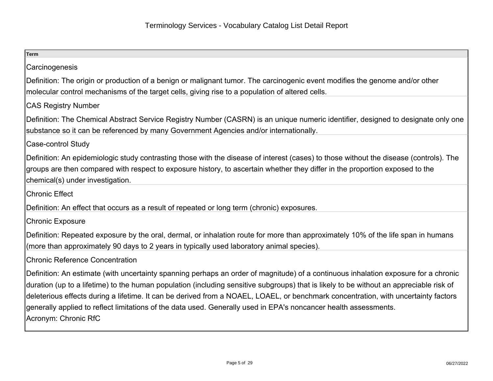| <b>Term</b>                                                                                                                                                                                                                                                                                                                                                                                                                                                                                                                                                      |
|------------------------------------------------------------------------------------------------------------------------------------------------------------------------------------------------------------------------------------------------------------------------------------------------------------------------------------------------------------------------------------------------------------------------------------------------------------------------------------------------------------------------------------------------------------------|
| Carcinogenesis                                                                                                                                                                                                                                                                                                                                                                                                                                                                                                                                                   |
| Definition: The origin or production of a benign or malignant tumor. The carcinogenic event modifies the genome and/or other<br>molecular control mechanisms of the target cells, giving rise to a population of altered cells.                                                                                                                                                                                                                                                                                                                                  |
| <b>CAS Registry Number</b>                                                                                                                                                                                                                                                                                                                                                                                                                                                                                                                                       |
| Definition: The Chemical Abstract Service Registry Number (CASRN) is an unique numeric identifier, designed to designate only one<br>substance so it can be referenced by many Government Agencies and/or internationally.                                                                                                                                                                                                                                                                                                                                       |
| Case-control Study                                                                                                                                                                                                                                                                                                                                                                                                                                                                                                                                               |
| Definition: An epidemiologic study contrasting those with the disease of interest (cases) to those without the disease (controls). The<br>groups are then compared with respect to exposure history, to ascertain whether they differ in the proportion exposed to the<br>chemical(s) under investigation.                                                                                                                                                                                                                                                       |
| <b>Chronic Effect</b>                                                                                                                                                                                                                                                                                                                                                                                                                                                                                                                                            |
| Definition: An effect that occurs as a result of repeated or long term (chronic) exposures.                                                                                                                                                                                                                                                                                                                                                                                                                                                                      |
| <b>Chronic Exposure</b>                                                                                                                                                                                                                                                                                                                                                                                                                                                                                                                                          |
| Definition: Repeated exposure by the oral, dermal, or inhalation route for more than approximately 10% of the life span in humans<br>(more than approximately 90 days to 2 years in typically used laboratory animal species).                                                                                                                                                                                                                                                                                                                                   |
| <b>Chronic Reference Concentration</b>                                                                                                                                                                                                                                                                                                                                                                                                                                                                                                                           |
| Definition: An estimate (with uncertainty spanning perhaps an order of magnitude) of a continuous inhalation exposure for a chronic<br>duration (up to a lifetime) to the human population (including sensitive subgroups) that is likely to be without an appreciable risk of<br>deleterious effects during a lifetime. It can be derived from a NOAEL, LOAEL, or benchmark concentration, with uncertainty factors<br>generally applied to reflect limitations of the data used. Generally used in EPA's noncancer health assessments.<br>Acronym: Chronic RfC |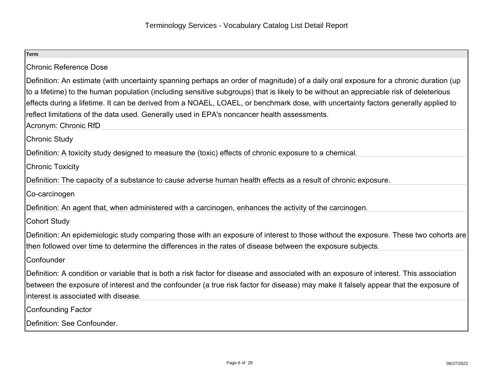| <b>Term</b>                                                                                                                                                                                                                                                                                                                                                                                                                                                                                                                                  |
|----------------------------------------------------------------------------------------------------------------------------------------------------------------------------------------------------------------------------------------------------------------------------------------------------------------------------------------------------------------------------------------------------------------------------------------------------------------------------------------------------------------------------------------------|
| <b>Chronic Reference Dose</b>                                                                                                                                                                                                                                                                                                                                                                                                                                                                                                                |
| Definition: An estimate (with uncertainty spanning perhaps an order of magnitude) of a daily oral exposure for a chronic duration (up<br>to a lifetime) to the human population (including sensitive subgroups) that is likely to be without an appreciable risk of deleterious<br>effects during a lifetime. It can be derived from a NOAEL, LOAEL, or benchmark dose, with uncertainty factors generally applied to<br>reflect limitations of the data used. Generally used in EPA's noncancer health assessments.<br>Acronym: Chronic RfD |
| <b>Chronic Study</b>                                                                                                                                                                                                                                                                                                                                                                                                                                                                                                                         |
| Definition: A toxicity study designed to measure the (toxic) effects of chronic exposure to a chemical.                                                                                                                                                                                                                                                                                                                                                                                                                                      |
| <b>Chronic Toxicity</b>                                                                                                                                                                                                                                                                                                                                                                                                                                                                                                                      |
| Definition: The capacity of a substance to cause adverse human health effects as a result of chronic exposure.                                                                                                                                                                                                                                                                                                                                                                                                                               |
| Co-carcinogen                                                                                                                                                                                                                                                                                                                                                                                                                                                                                                                                |
| Definition: An agent that, when administered with a carcinogen, enhances the activity of the carcinogen.                                                                                                                                                                                                                                                                                                                                                                                                                                     |
| <b>Cohort Study</b>                                                                                                                                                                                                                                                                                                                                                                                                                                                                                                                          |
| Definition: An epidemiologic study comparing those with an exposure of interest to those without the exposure. These two cohorts are<br>then followed over time to determine the differences in the rates of disease between the exposure subjects.                                                                                                                                                                                                                                                                                          |
| Confounder                                                                                                                                                                                                                                                                                                                                                                                                                                                                                                                                   |
| Definition: A condition or variable that is both a risk factor for disease and associated with an exposure of interest. This association<br>between the exposure of interest and the confounder (a true risk factor for disease) may make it falsely appear that the exposure of<br>interest is associated with disease.                                                                                                                                                                                                                     |
| Confounding Factor                                                                                                                                                                                                                                                                                                                                                                                                                                                                                                                           |
| Definition: See Confounder.                                                                                                                                                                                                                                                                                                                                                                                                                                                                                                                  |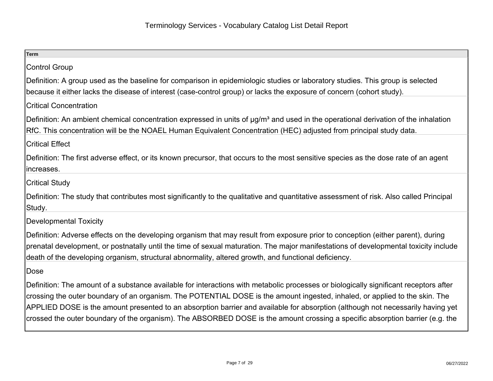| <b>Term</b>                                                                                                                                                                                                                                                                                                                                                                                                                                                                                                                              |
|------------------------------------------------------------------------------------------------------------------------------------------------------------------------------------------------------------------------------------------------------------------------------------------------------------------------------------------------------------------------------------------------------------------------------------------------------------------------------------------------------------------------------------------|
| <b>Control Group</b>                                                                                                                                                                                                                                                                                                                                                                                                                                                                                                                     |
| Definition: A group used as the baseline for comparison in epidemiologic studies or laboratory studies. This group is selected<br>because it either lacks the disease of interest (case-control group) or lacks the exposure of concern (cohort study).                                                                                                                                                                                                                                                                                  |
| <b>Critical Concentration</b>                                                                                                                                                                                                                                                                                                                                                                                                                                                                                                            |
| Definition: An ambient chemical concentration expressed in units of µg/m <sup>3</sup> and used in the operational derivation of the inhalation<br>RfC. This concentration will be the NOAEL Human Equivalent Concentration (HEC) adjusted from principal study data.                                                                                                                                                                                                                                                                     |
| <b>Critical Effect</b>                                                                                                                                                                                                                                                                                                                                                                                                                                                                                                                   |
| Definition: The first adverse effect, or its known precursor, that occurs to the most sensitive species as the dose rate of an agent<br>increases.                                                                                                                                                                                                                                                                                                                                                                                       |
| <b>Critical Study</b>                                                                                                                                                                                                                                                                                                                                                                                                                                                                                                                    |
| Definition: The study that contributes most significantly to the qualitative and quantitative assessment of risk. Also called Principal<br>Study.                                                                                                                                                                                                                                                                                                                                                                                        |
| <b>Developmental Toxicity</b>                                                                                                                                                                                                                                                                                                                                                                                                                                                                                                            |
| Definition: Adverse effects on the developing organism that may result from exposure prior to conception (either parent), during<br>prenatal development, or postnatally until the time of sexual maturation. The major manifestations of developmental toxicity include<br>death of the developing organism, structural abnormality, altered growth, and functional deficiency.                                                                                                                                                         |
| Dose                                                                                                                                                                                                                                                                                                                                                                                                                                                                                                                                     |
| Definition: The amount of a substance available for interactions with metabolic processes or biologically significant receptors after<br>crossing the outer boundary of an organism. The POTENTIAL DOSE is the amount ingested, inhaled, or applied to the skin. The<br>APPLIED DOSE is the amount presented to an absorption barrier and available for absorption (although not necessarily having yet<br>crossed the outer boundary of the organism). The ABSORBED DOSE is the amount crossing a specific absorption barrier (e.g. the |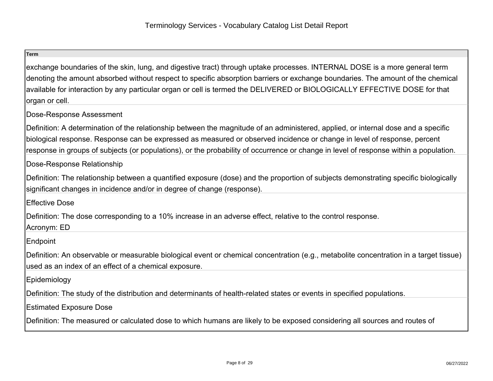exchange boundaries of the skin, lung, and digestive tract) through uptake processes. INTERNAL DOSE is a more general term denoting the amount absorbed without respect to specific absorption barriers or exchange boundaries. The amount of the chemicalavailable for interaction by any particular organ or cell is termed the DELIVERED or BIOLOGICALLY EFFECTIVE DOSE for thatorgan or cell.

## Dose-Response Assessment

Definition: A determination of the relationship between the magnitude of an administered, applied, or internal dose and a specificbiological response. Response can be expressed as measured or observed incidence or change in level of response, percentresponse in groups of subjects (or populations), or the probability of occurrence or change in level of response within a population.

# Dose-Response Relationship

Definition: The relationship between a quantified exposure (dose) and the proportion of subjects demonstrating specific biologicallysignificant changes in incidence and/or in degree of change (response).

Effective Dose

Definition: The dose corresponding to a 10% increase in an adverse effect, relative to the control response.

Acronym: ED

**Endpoint** 

Definition: An observable or measurable biological event or chemical concentration (e.g., metabolite concentration in a target tissue)used as an index of an effect of a chemical exposure.

Epidemiology

Definition: The study of the distribution and determinants of health-related states or events in specified populations.

Estimated Exposure Dose

Definition: The measured or calculated dose to which humans are likely to be exposed considering all sources and routes of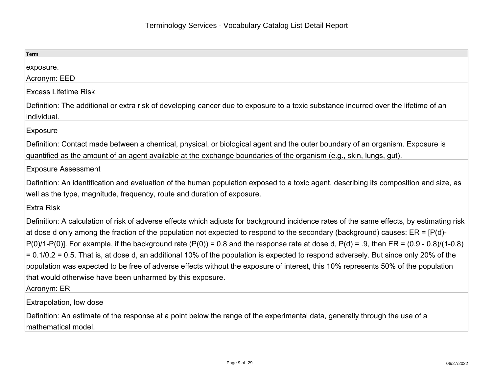| Term                                                                                                                                                                                                                                                                                                                                                                                                                                                                                                                                                                                                                                                                                                                                                                                             |
|--------------------------------------------------------------------------------------------------------------------------------------------------------------------------------------------------------------------------------------------------------------------------------------------------------------------------------------------------------------------------------------------------------------------------------------------------------------------------------------------------------------------------------------------------------------------------------------------------------------------------------------------------------------------------------------------------------------------------------------------------------------------------------------------------|
| exposure.                                                                                                                                                                                                                                                                                                                                                                                                                                                                                                                                                                                                                                                                                                                                                                                        |
| Acronym: EED                                                                                                                                                                                                                                                                                                                                                                                                                                                                                                                                                                                                                                                                                                                                                                                     |
| <b>Excess Lifetime Risk</b>                                                                                                                                                                                                                                                                                                                                                                                                                                                                                                                                                                                                                                                                                                                                                                      |
| Definition: The additional or extra risk of developing cancer due to exposure to a toxic substance incurred over the lifetime of an<br>individual.                                                                                                                                                                                                                                                                                                                                                                                                                                                                                                                                                                                                                                               |
| <b>Exposure</b>                                                                                                                                                                                                                                                                                                                                                                                                                                                                                                                                                                                                                                                                                                                                                                                  |
| Definition: Contact made between a chemical, physical, or biological agent and the outer boundary of an organism. Exposure is<br>quantified as the amount of an agent available at the exchange boundaries of the organism (e.g., skin, lungs, gut).                                                                                                                                                                                                                                                                                                                                                                                                                                                                                                                                             |
| <b>Exposure Assessment</b>                                                                                                                                                                                                                                                                                                                                                                                                                                                                                                                                                                                                                                                                                                                                                                       |
| Definition: An identification and evaluation of the human population exposed to a toxic agent, describing its composition and size, as<br>well as the type, magnitude, frequency, route and duration of exposure.                                                                                                                                                                                                                                                                                                                                                                                                                                                                                                                                                                                |
| Extra Risk                                                                                                                                                                                                                                                                                                                                                                                                                                                                                                                                                                                                                                                                                                                                                                                       |
| Definition: A calculation of risk of adverse effects which adjusts for background incidence rates of the same effects, by estimating risk<br>at dose d only among the fraction of the population not expected to respond to the secondary (background) causes: $ER = [P(d)-$<br>$[P(0)/1-P(0)]$ . For example, if the background rate $(P(0))$ = 0.8 and the response rate at dose d, $P(d)$ = .9, then ER = $(0.9 - 0.8)/(1 - 0.8)$<br>$= 0.1/0.2 = 0.5$ . That is, at dose d, an additional 10% of the population is expected to respond adversely. But since only 20% of the<br>population was expected to be free of adverse effects without the exposure of interest, this 10% represents 50% of the population<br>that would otherwise have been unharmed by this exposure.<br>Acronym: ER |
| <b>Extrapolation, low dose</b>                                                                                                                                                                                                                                                                                                                                                                                                                                                                                                                                                                                                                                                                                                                                                                   |
| Definition: An estimate of the response at a point below the range of the experimental data, generally through the use of a<br>Imathematical model.                                                                                                                                                                                                                                                                                                                                                                                                                                                                                                                                                                                                                                              |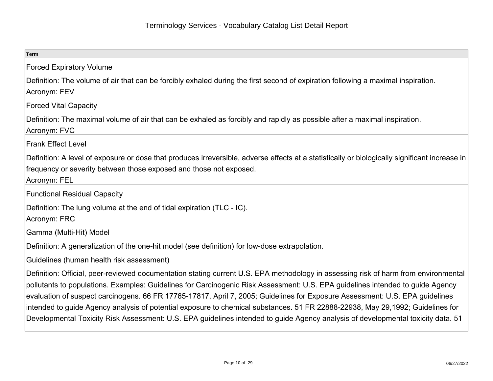| <b>Term</b>                                                                                                                                                                                                                                                                                                                                                                                                                                                                                                                                                                                                                                                                 |
|-----------------------------------------------------------------------------------------------------------------------------------------------------------------------------------------------------------------------------------------------------------------------------------------------------------------------------------------------------------------------------------------------------------------------------------------------------------------------------------------------------------------------------------------------------------------------------------------------------------------------------------------------------------------------------|
| <b>Forced Expiratory Volume</b>                                                                                                                                                                                                                                                                                                                                                                                                                                                                                                                                                                                                                                             |
| Definition: The volume of air that can be forcibly exhaled during the first second of expiration following a maximal inspiration.<br>Acronym: FEV                                                                                                                                                                                                                                                                                                                                                                                                                                                                                                                           |
| <b>Forced Vital Capacity</b>                                                                                                                                                                                                                                                                                                                                                                                                                                                                                                                                                                                                                                                |
| Definition: The maximal volume of air that can be exhaled as forcibly and rapidly as possible after a maximal inspiration.<br>Acronym: FVC                                                                                                                                                                                                                                                                                                                                                                                                                                                                                                                                  |
| <b>Frank Effect Level</b>                                                                                                                                                                                                                                                                                                                                                                                                                                                                                                                                                                                                                                                   |
| Definition: A level of exposure or dose that produces irreversible, adverse effects at a statistically or biologically significant increase in<br>frequency or severity between those exposed and those not exposed.<br>Acronym: FEL                                                                                                                                                                                                                                                                                                                                                                                                                                        |
| <b>Functional Residual Capacity</b>                                                                                                                                                                                                                                                                                                                                                                                                                                                                                                                                                                                                                                         |
| Definition: The lung volume at the end of tidal expiration (TLC - IC).<br>Acronym: FRC                                                                                                                                                                                                                                                                                                                                                                                                                                                                                                                                                                                      |
| Gamma (Multi-Hit) Model                                                                                                                                                                                                                                                                                                                                                                                                                                                                                                                                                                                                                                                     |
| Definition: A generalization of the one-hit model (see definition) for low-dose extrapolation.                                                                                                                                                                                                                                                                                                                                                                                                                                                                                                                                                                              |
| Guidelines (human health risk assessment)                                                                                                                                                                                                                                                                                                                                                                                                                                                                                                                                                                                                                                   |
| Definition: Official, peer-reviewed documentation stating current U.S. EPA methodology in assessing risk of harm from environmental<br>pollutants to populations. Examples: Guidelines for Carcinogenic Risk Assessment: U.S. EPA guidelines intended to guide Agency<br>evaluation of suspect carcinogens. 66 FR 17765-17817, April 7, 2005; Guidelines for Exposure Assessment: U.S. EPA guidelines<br>Intended to guide Agency analysis of potential exposure to chemical substances. 51 FR 22888-22938, May 29,1992; Guidelines for<br>Developmental Toxicity Risk Assessment: U.S. EPA guidelines intended to guide Agency analysis of developmental toxicity data. 51 |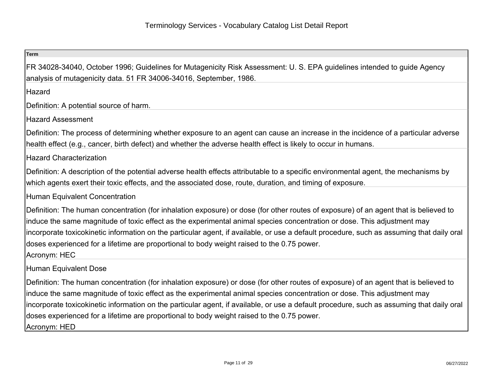| <b>Term</b>                                                                                                                                                                                                                                                                                                                                                                                                                                                                                                                |
|----------------------------------------------------------------------------------------------------------------------------------------------------------------------------------------------------------------------------------------------------------------------------------------------------------------------------------------------------------------------------------------------------------------------------------------------------------------------------------------------------------------------------|
| FR 34028-34040, October 1996; Guidelines for Mutagenicity Risk Assessment: U.S. EPA guidelines intended to guide Agency<br>analysis of mutagenicity data. 51 FR 34006-34016, September, 1986.                                                                                                                                                                                                                                                                                                                              |
| Hazard                                                                                                                                                                                                                                                                                                                                                                                                                                                                                                                     |
| Definition: A potential source of harm.                                                                                                                                                                                                                                                                                                                                                                                                                                                                                    |
| <b>Hazard Assessment</b>                                                                                                                                                                                                                                                                                                                                                                                                                                                                                                   |
| Definition: The process of determining whether exposure to an agent can cause an increase in the incidence of a particular adverse<br>health effect (e.g., cancer, birth defect) and whether the adverse health effect is likely to occur in humans.                                                                                                                                                                                                                                                                       |
| <b>Hazard Characterization</b>                                                                                                                                                                                                                                                                                                                                                                                                                                                                                             |
| Definition: A description of the potential adverse health effects attributable to a specific environmental agent, the mechanisms by<br>which agents exert their toxic effects, and the associated dose, route, duration, and timing of exposure.                                                                                                                                                                                                                                                                           |
| <b>Human Equivalent Concentration</b>                                                                                                                                                                                                                                                                                                                                                                                                                                                                                      |
| Definition: The human concentration (for inhalation exposure) or dose (for other routes of exposure) of an agent that is believed to<br>induce the same magnitude of toxic effect as the experimental animal species concentration or dose. This adjustment may<br>incorporate toxicokinetic information on the particular agent, if available, or use a default procedure, such as assuming that daily oral<br>doses experienced for a lifetime are proportional to body weight raised to the 0.75 power.<br>Acronym: HEC |
| <b>Human Equivalent Dose</b>                                                                                                                                                                                                                                                                                                                                                                                                                                                                                               |
| Definition: The human concentration (for inhalation exposure) or dose (for other routes of exposure) of an agent that is believed to<br>induce the same magnitude of toxic effect as the experimental animal species concentration or dose. This adjustment may<br>incorporate toxicokinetic information on the particular agent, if available, or use a default procedure, such as assuming that daily oral<br>doses experienced for a lifetime are proportional to body weight raised to the 0.75 power.<br>Acronym: HED |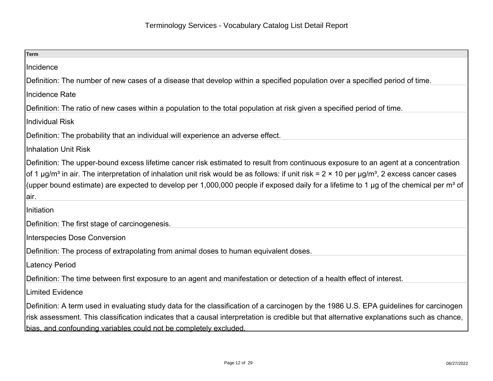| <b>Term</b>                                                                                                                                                                                                                                                                                                                                                                                                                                                                      |
|----------------------------------------------------------------------------------------------------------------------------------------------------------------------------------------------------------------------------------------------------------------------------------------------------------------------------------------------------------------------------------------------------------------------------------------------------------------------------------|
| Incidence                                                                                                                                                                                                                                                                                                                                                                                                                                                                        |
| Definition: The number of new cases of a disease that develop within a specified population over a specified period of time.                                                                                                                                                                                                                                                                                                                                                     |
| <b>Incidence Rate</b>                                                                                                                                                                                                                                                                                                                                                                                                                                                            |
| Definition: The ratio of new cases within a population to the total population at risk given a specified period of time.                                                                                                                                                                                                                                                                                                                                                         |
| <b>Individual Risk</b>                                                                                                                                                                                                                                                                                                                                                                                                                                                           |
| Definition: The probability that an individual will experience an adverse effect.                                                                                                                                                                                                                                                                                                                                                                                                |
| <b>Inhalation Unit Risk</b>                                                                                                                                                                                                                                                                                                                                                                                                                                                      |
| Definition: The upper-bound excess lifetime cancer risk estimated to result from continuous exposure to an agent at a concentration<br>of 1 $\mu$ g/m <sup>3</sup> in air. The interpretation of inhalation unit risk would be as follows: if unit risk = 2 × 10 per $\mu$ g/m <sup>3</sup> , 2 excess cancer cases<br>(upper bound estimate) are expected to develop per 1,000,000 people if exposed daily for a lifetime to 1 µg of the chemical per m <sup>3</sup> of<br>air. |
| Initiation                                                                                                                                                                                                                                                                                                                                                                                                                                                                       |
| Definition: The first stage of carcinogenesis.                                                                                                                                                                                                                                                                                                                                                                                                                                   |
| <b>Interspecies Dose Conversion</b>                                                                                                                                                                                                                                                                                                                                                                                                                                              |
| Definition: The process of extrapolating from animal doses to human equivalent doses.                                                                                                                                                                                                                                                                                                                                                                                            |
| <b>Latency Period</b>                                                                                                                                                                                                                                                                                                                                                                                                                                                            |
| Definition: The time between first exposure to an agent and manifestation or detection of a health effect of interest.                                                                                                                                                                                                                                                                                                                                                           |
| <b>Limited Evidence</b>                                                                                                                                                                                                                                                                                                                                                                                                                                                          |
| Definition: A term used in evaluating study data for the classification of a carcinogen by the 1986 U.S. EPA guidelines for carcinogen<br>risk assessment. This classification indicates that a causal interpretation is credible but that alternative explanations such as chance,<br>bias, and confounding variables could not be completely excluded.                                                                                                                         |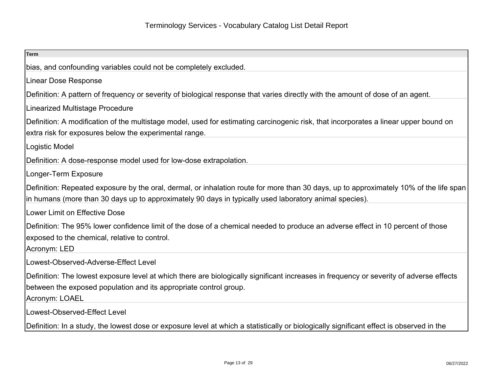| <b>Term</b>                                                                                                                                                                                                                                      |
|--------------------------------------------------------------------------------------------------------------------------------------------------------------------------------------------------------------------------------------------------|
| bias, and confounding variables could not be completely excluded.                                                                                                                                                                                |
| <b>Linear Dose Response</b>                                                                                                                                                                                                                      |
| Definition: A pattern of frequency or severity of biological response that varies directly with the amount of dose of an agent.                                                                                                                  |
| <b>Linearized Multistage Procedure</b>                                                                                                                                                                                                           |
| Definition: A modification of the multistage model, used for estimating carcinogenic risk, that incorporates a linear upper bound on<br>extra risk for exposures below the experimental range.                                                   |
| Logistic Model                                                                                                                                                                                                                                   |
| Definition: A dose-response model used for low-dose extrapolation.                                                                                                                                                                               |
| Longer-Term Exposure                                                                                                                                                                                                                             |
| Definition: Repeated exposure by the oral, dermal, or inhalation route for more than 30 days, up to approximately 10% of the life span<br>in humans (more than 30 days up to approximately 90 days in typically used laboratory animal species). |
| Lower Limit on Effective Dose                                                                                                                                                                                                                    |
| Definition: The 95% lower confidence limit of the dose of a chemical needed to produce an adverse effect in 10 percent of those<br>exposed to the chemical, relative to control.<br>Acronym: LED                                                 |
| Lowest-Observed-Adverse-Effect Level                                                                                                                                                                                                             |
| Definition: The lowest exposure level at which there are biologically significant increases in frequency or severity of adverse effects<br>between the exposed population and its appropriate control group.<br>Acronym: LOAEL                   |
| Lowest-Observed-Effect Level                                                                                                                                                                                                                     |
| Definition: In a study, the lowest dose or exposure level at which a statistically or biologically significant effect is observed in the                                                                                                         |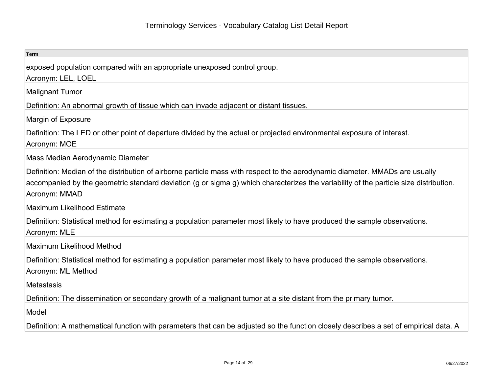| <b>Term</b>                                                                                                                                                                                                                                                                            |
|----------------------------------------------------------------------------------------------------------------------------------------------------------------------------------------------------------------------------------------------------------------------------------------|
| exposed population compared with an appropriate unexposed control group.                                                                                                                                                                                                               |
| Acronym: LEL, LOEL                                                                                                                                                                                                                                                                     |
| <b>Malignant Tumor</b>                                                                                                                                                                                                                                                                 |
| Definition: An abnormal growth of tissue which can invade adjacent or distant tissues.                                                                                                                                                                                                 |
| Margin of Exposure                                                                                                                                                                                                                                                                     |
| Definition: The LED or other point of departure divided by the actual or projected environmental exposure of interest.<br>Acronym: MOE                                                                                                                                                 |
| Mass Median Aerodynamic Diameter                                                                                                                                                                                                                                                       |
| Definition: Median of the distribution of airborne particle mass with respect to the aerodynamic diameter. MMADs are usually<br>accompanied by the geometric standard deviation (g or sigma g) which characterizes the variability of the particle size distribution.<br>Acronym: MMAD |
| Maximum Likelihood Estimate                                                                                                                                                                                                                                                            |
| Definition: Statistical method for estimating a population parameter most likely to have produced the sample observations.<br>Acronym: MLE                                                                                                                                             |
| Maximum Likelihood Method                                                                                                                                                                                                                                                              |
| Definition: Statistical method for estimating a population parameter most likely to have produced the sample observations.<br>Acronym: ML Method                                                                                                                                       |
| <b>Metastasis</b>                                                                                                                                                                                                                                                                      |
| Definition: The dissemination or secondary growth of a malignant tumor at a site distant from the primary tumor.                                                                                                                                                                       |
| Model                                                                                                                                                                                                                                                                                  |
| Definition: A mathematical function with parameters that can be adjusted so the function closely describes a set of empirical data. A                                                                                                                                                  |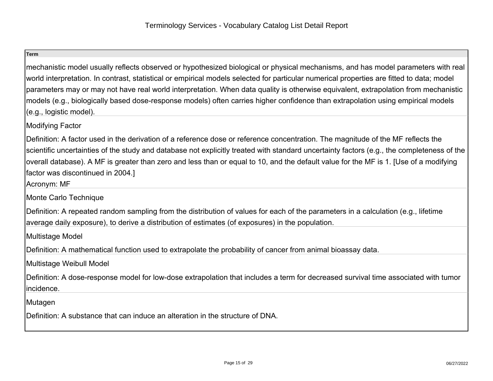mechanistic model usually reflects observed or hypothesized biological or physical mechanisms, and has model parameters with realworld interpretation. In contrast, statistical or empirical models selected for particular numerical properties are fitted to data; modelparameters may or may not have real world interpretation. When data quality is otherwise equivalent, extrapolation from mechanisticmodels (e.g., biologically based dose-response models) often carries higher confidence than extrapolation using empirical models(e.g., logistic model).

Modifying Factor

Definition: A factor used in the derivation of a reference dose or reference concentration. The magnitude of the MF reflects the scientific uncertainties of the study and database not explicitly treated with standard uncertainty factors (e.g., the completeness of theoverall database). A MF is greater than zero and less than or equal to 10, and the default value for the MF is 1. [Use of a modifyingfactor was discontinued in 2004.]

Acronym: MF

Monte Carlo Technique

Definition: A repeated random sampling from the distribution of values for each of the parameters in a calculation (e.g., lifetimeaverage daily exposure), to derive a distribution of estimates (of exposures) in the population.

Multistage Model

Definition: A mathematical function used to extrapolate the probability of cancer from animal bioassay data.

Multistage Weibull Model

Definition: A dose-response model for low-dose extrapolation that includes a term for decreased survival time associated with tumorincidence.

Mutagen

Definition: A substance that can induce an alteration in the structure of DNA.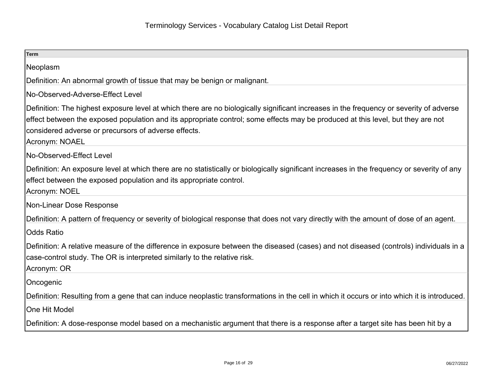| <b>Term</b>                                                                                                                                                                                                                                                                                                                                          |
|------------------------------------------------------------------------------------------------------------------------------------------------------------------------------------------------------------------------------------------------------------------------------------------------------------------------------------------------------|
| Neoplasm                                                                                                                                                                                                                                                                                                                                             |
| Definition: An abnormal growth of tissue that may be benign or malignant.                                                                                                                                                                                                                                                                            |
| No-Observed-Adverse-Effect Level                                                                                                                                                                                                                                                                                                                     |
| Definition: The highest exposure level at which there are no biologically significant increases in the frequency or severity of adverse<br>effect between the exposed population and its appropriate control; some effects may be produced at this level, but they are not<br>considered adverse or precursors of adverse effects.<br>Acronym: NOAEL |
| No-Observed-Effect Level                                                                                                                                                                                                                                                                                                                             |
| Definition: An exposure level at which there are no statistically or biologically significant increases in the frequency or severity of any<br>effect between the exposed population and its appropriate control.<br>Acronym: NOEL                                                                                                                   |
| Non-Linear Dose Response                                                                                                                                                                                                                                                                                                                             |
| Definition: A pattern of frequency or severity of biological response that does not vary directly with the amount of dose of an agent.                                                                                                                                                                                                               |
| <b>Odds Ratio</b>                                                                                                                                                                                                                                                                                                                                    |
| Definition: A relative measure of the difference in exposure between the diseased (cases) and not diseased (controls) individuals in a<br>case-control study. The OR is interpreted similarly to the relative risk.<br>Acronym: OR                                                                                                                   |
| Oncogenic                                                                                                                                                                                                                                                                                                                                            |
| Definition: Resulting from a gene that can induce neoplastic transformations in the cell in which it occurs or into which it is introduced.                                                                                                                                                                                                          |
| <b>One Hit Model</b>                                                                                                                                                                                                                                                                                                                                 |
| Definition: A dose-response model based on a mechanistic argument that there is a response after a target site has been hit by a                                                                                                                                                                                                                     |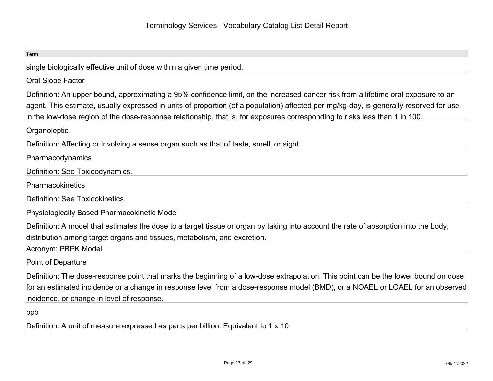| <b>Term</b>                                                                                                                                                                                                                                                                                                                                                                                                 |
|-------------------------------------------------------------------------------------------------------------------------------------------------------------------------------------------------------------------------------------------------------------------------------------------------------------------------------------------------------------------------------------------------------------|
| single biologically effective unit of dose within a given time period.                                                                                                                                                                                                                                                                                                                                      |
| Oral Slope Factor                                                                                                                                                                                                                                                                                                                                                                                           |
| Definition: An upper bound, approximating a 95% confidence limit, on the increased cancer risk from a lifetime oral exposure to an<br>agent. This estimate, usually expressed in units of proportion (of a population) affected per mg/kg-day, is generally reserved for use<br>in the low-dose region of the dose-response relationship, that is, for exposures corresponding to risks less than 1 in 100. |
| Organoleptic                                                                                                                                                                                                                                                                                                                                                                                                |
| Definition: Affecting or involving a sense organ such as that of taste, smell, or sight.                                                                                                                                                                                                                                                                                                                    |
| Pharmacodynamics                                                                                                                                                                                                                                                                                                                                                                                            |
| Definition: See Toxicodynamics.                                                                                                                                                                                                                                                                                                                                                                             |
| Pharmacokinetics                                                                                                                                                                                                                                                                                                                                                                                            |
| Definition: See Toxicokinetics.                                                                                                                                                                                                                                                                                                                                                                             |
| Physiologically Based Pharmacokinetic Model                                                                                                                                                                                                                                                                                                                                                                 |
| Definition: A model that estimates the dose to a target tissue or organ by taking into account the rate of absorption into the body,<br>distribution among target organs and tissues, metabolism, and excretion.<br>Acronym: PBPK Model                                                                                                                                                                     |
| Point of Departure                                                                                                                                                                                                                                                                                                                                                                                          |
| Definition: The dose-response point that marks the beginning of a low-dose extrapolation. This point can be the lower bound on dose<br>for an estimated incidence or a change in response level from a dose-response model (BMD), or a NOAEL or LOAEL for an observed<br>incidence, or change in level of response.                                                                                         |
| ppb                                                                                                                                                                                                                                                                                                                                                                                                         |
| Definition: A unit of measure expressed as parts per billion. Equivalent to 1 x 10.                                                                                                                                                                                                                                                                                                                         |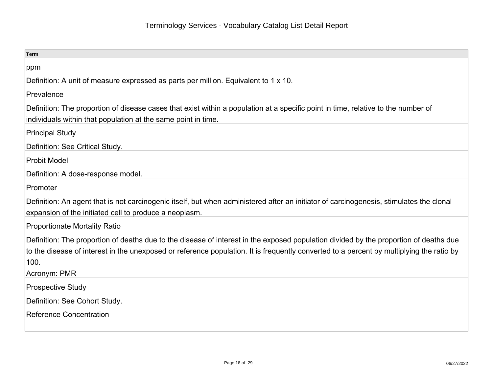| <b>Term</b>                                                                                                                                                                                                                                                                                               |
|-----------------------------------------------------------------------------------------------------------------------------------------------------------------------------------------------------------------------------------------------------------------------------------------------------------|
| ppm                                                                                                                                                                                                                                                                                                       |
| Definition: A unit of measure expressed as parts per million. Equivalent to 1 x 10.                                                                                                                                                                                                                       |
| Prevalence                                                                                                                                                                                                                                                                                                |
| Definition: The proportion of disease cases that exist within a population at a specific point in time, relative to the number of<br>individuals within that population at the same point in time.                                                                                                        |
| <b>Principal Study</b>                                                                                                                                                                                                                                                                                    |
| Definition: See Critical Study.                                                                                                                                                                                                                                                                           |
| Probit Model                                                                                                                                                                                                                                                                                              |
| Definition: A dose-response model.                                                                                                                                                                                                                                                                        |
| <b>IPromoter</b>                                                                                                                                                                                                                                                                                          |
| Definition: An agent that is not carcinogenic itself, but when administered after an initiator of carcinogenesis, stimulates the clonal<br>expansion of the initiated cell to produce a neoplasm.                                                                                                         |
| <b>Proportionate Mortality Ratio</b>                                                                                                                                                                                                                                                                      |
| Definition: The proportion of deaths due to the disease of interest in the exposed population divided by the proportion of deaths due<br>to the disease of interest in the unexposed or reference population. It is frequently converted to a percent by multiplying the ratio by<br>100.<br>Acronym: PMR |
| <b>Prospective Study</b>                                                                                                                                                                                                                                                                                  |
| Definition: See Cohort Study.                                                                                                                                                                                                                                                                             |
| Reference Concentration                                                                                                                                                                                                                                                                                   |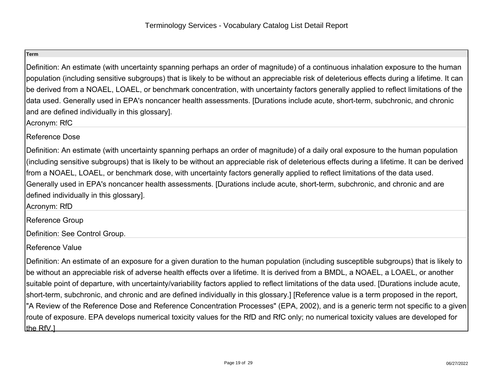Definition: An estimate (with uncertainty spanning perhaps an order of magnitude) of a continuous inhalation exposure to the humanpopulation (including sensitive subgroups) that is likely to be without an appreciable risk of deleterious effects during a lifetime. It can be derived from a NOAEL, LOAEL, or benchmark concentration, with uncertainty factors generally applied to reflect limitations of thedata used. Generally used in EPA's noncancer health assessments. [Durations include acute, short-term, subchronic, and chronicand are defined individually in this glossary].

Acronym: RfC

# Reference Dose

Definition: An estimate (with uncertainty spanning perhaps an order of magnitude) of a daily oral exposure to the human population(including sensitive subgroups) that is likely to be without an appreciable risk of deleterious effects during a lifetime. It can be derivedfrom a NOAEL, LOAEL, or benchmark dose, with uncertainty factors generally applied to reflect limitations of the data used.Generally used in EPA's noncancer health assessments. [Durations include acute, short-term, subchronic, and chronic and aredefined individually in this glossary].

Acronym: RfD

Reference Group

Definition: See Control Group.

Reference Value

Definition: An estimate of an exposure for a given duration to the human population (including susceptible subgroups) that is likely tobe without an appreciable risk of adverse health effects over a lifetime. It is derived from a BMDL, a NOAEL, a LOAEL, or anothersuitable point of departure, with uncertainty/variability factors applied to reflect limitations of the data used. [Durations include acute,short-term, subchronic, and chronic and are defined individually in this glossary.] [Reference value is a term proposed in the report,"A Review of the Reference Dose and Reference Concentration Processes" (EPA, 2002), and is a generic term not specific to a givenroute of exposure. EPA develops numerical toxicity values for the RfD and RfC only; no numerical toxicity values are developed forthe RfV.1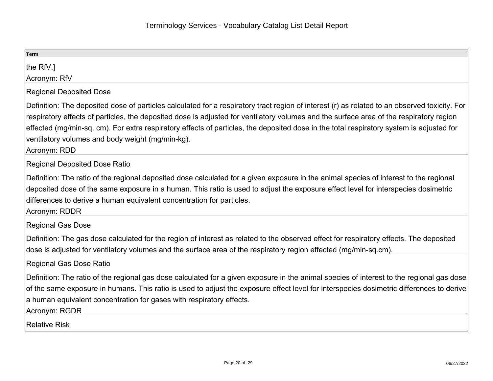| Term                                                                                                                                                                                                                                                                                                                                                                                                                                                                                                     |
|----------------------------------------------------------------------------------------------------------------------------------------------------------------------------------------------------------------------------------------------------------------------------------------------------------------------------------------------------------------------------------------------------------------------------------------------------------------------------------------------------------|
| the RfV.<br>Acronym: RfV                                                                                                                                                                                                                                                                                                                                                                                                                                                                                 |
| <b>Regional Deposited Dose</b>                                                                                                                                                                                                                                                                                                                                                                                                                                                                           |
| Definition: The deposited dose of particles calculated for a respiratory tract region of interest (r) as related to an observed toxicity. For<br>respiratory effects of particles, the deposited dose is adjusted for ventilatory volumes and the surface area of the respiratory region<br>effected (mg/min-sq. cm). For extra respiratory effects of particles, the deposited dose in the total respiratory system is adjusted for<br>ventilatory volumes and body weight (mg/min-kg).<br>Acronym: RDD |
| Regional Deposited Dose Ratio                                                                                                                                                                                                                                                                                                                                                                                                                                                                            |
| Definition: The ratio of the regional deposited dose calculated for a given exposure in the animal species of interest to the regional<br>deposited dose of the same exposure in a human. This ratio is used to adjust the exposure effect level for interspecies dosimetric<br>differences to derive a human equivalent concentration for particles.<br>Acronym: RDDR                                                                                                                                   |
| Regional Gas Dose                                                                                                                                                                                                                                                                                                                                                                                                                                                                                        |
| Definition: The gas dose calculated for the region of interest as related to the observed effect for respiratory effects. The deposited<br>dose is adjusted for ventilatory volumes and the surface area of the respiratory region effected (mg/min-sq.cm).                                                                                                                                                                                                                                              |
| Regional Gas Dose Ratio                                                                                                                                                                                                                                                                                                                                                                                                                                                                                  |
| Definition: The ratio of the regional gas dose calculated for a given exposure in the animal species of interest to the regional gas dose<br>of the same exposure in humans. This ratio is used to adjust the exposure effect level for interspecies dosimetric differences to derive<br>a human equivalent concentration for gases with respiratory effects.<br>Acronym: RGDR                                                                                                                           |
| Relative Risk                                                                                                                                                                                                                                                                                                                                                                                                                                                                                            |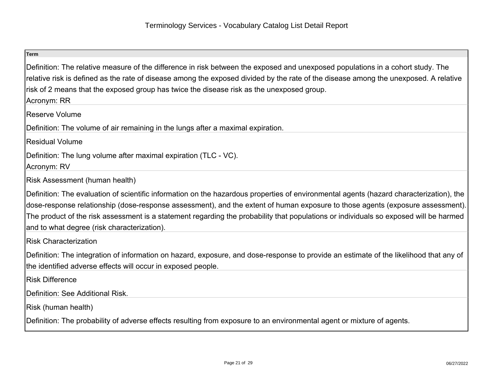| Term                                                                                                                                                                                                                                                                                                                                                                                                                                                              |
|-------------------------------------------------------------------------------------------------------------------------------------------------------------------------------------------------------------------------------------------------------------------------------------------------------------------------------------------------------------------------------------------------------------------------------------------------------------------|
| Definition: The relative measure of the difference in risk between the exposed and unexposed populations in a cohort study. The<br>relative risk is defined as the rate of disease among the exposed divided by the rate of the disease among the unexposed. A relative<br>risk of 2 means that the exposed group has twice the disease risk as the unexposed group.<br>Acronym: RR                                                                               |
| Reserve Volume                                                                                                                                                                                                                                                                                                                                                                                                                                                    |
| Definition: The volume of air remaining in the lungs after a maximal expiration.                                                                                                                                                                                                                                                                                                                                                                                  |
| Residual Volume                                                                                                                                                                                                                                                                                                                                                                                                                                                   |
| Definition: The lung volume after maximal expiration (TLC - VC).<br>Acronym: RV                                                                                                                                                                                                                                                                                                                                                                                   |
| Risk Assessment (human health)                                                                                                                                                                                                                                                                                                                                                                                                                                    |
| Definition: The evaluation of scientific information on the hazardous properties of environmental agents (hazard characterization), the<br>dose-response relationship (dose-response assessment), and the extent of human exposure to those agents (exposure assessment).<br>The product of the risk assessment is a statement regarding the probability that populations or individuals so exposed will be harmed<br>and to what degree (risk characterization). |
| <b>Risk Characterization</b>                                                                                                                                                                                                                                                                                                                                                                                                                                      |
| Definition: The integration of information on hazard, exposure, and dose-response to provide an estimate of the likelihood that any of<br>the identified adverse effects will occur in exposed people.                                                                                                                                                                                                                                                            |
| <b>Risk Difference</b>                                                                                                                                                                                                                                                                                                                                                                                                                                            |
| Definition: See Additional Risk.                                                                                                                                                                                                                                                                                                                                                                                                                                  |
| Risk (human health)                                                                                                                                                                                                                                                                                                                                                                                                                                               |
| Definition: The probability of adverse effects resulting from exposure to an environmental agent or mixture of agents.                                                                                                                                                                                                                                                                                                                                            |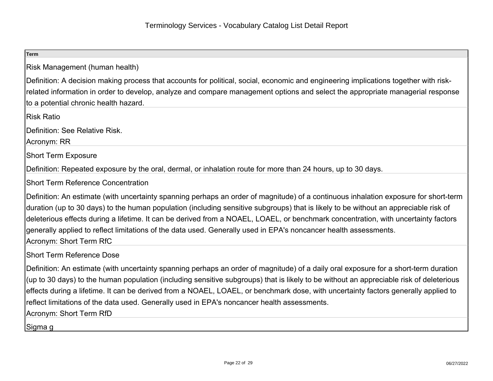| <b>Term</b>                                                                                                                                                                                                                                                                                                                                                                                                                                                                                                                                                       |
|-------------------------------------------------------------------------------------------------------------------------------------------------------------------------------------------------------------------------------------------------------------------------------------------------------------------------------------------------------------------------------------------------------------------------------------------------------------------------------------------------------------------------------------------------------------------|
| Risk Management (human health)                                                                                                                                                                                                                                                                                                                                                                                                                                                                                                                                    |
| Definition: A decision making process that accounts for political, social, economic and engineering implications together with risk-<br>related information in order to develop, analyze and compare management options and select the appropriate managerial response<br>to a potential chronic health hazard.                                                                                                                                                                                                                                                   |
| Risk Ratio                                                                                                                                                                                                                                                                                                                                                                                                                                                                                                                                                        |
| Definition: See Relative Risk.<br>Acronym: RR                                                                                                                                                                                                                                                                                                                                                                                                                                                                                                                     |
| <b>Short Term Exposure</b>                                                                                                                                                                                                                                                                                                                                                                                                                                                                                                                                        |
| Definition: Repeated exposure by the oral, dermal, or inhalation route for more than 24 hours, up to 30 days.                                                                                                                                                                                                                                                                                                                                                                                                                                                     |
| <b>Short Term Reference Concentration</b>                                                                                                                                                                                                                                                                                                                                                                                                                                                                                                                         |
| Definition: An estimate (with uncertainty spanning perhaps an order of magnitude) of a continuous inhalation exposure for short-term<br>duration (up to 30 days) to the human population (including sensitive subgroups) that is likely to be without an appreciable risk of<br>deleterious effects during a lifetime. It can be derived from a NOAEL, LOAEL, or benchmark concentration, with uncertainty factors<br>generally applied to reflect limitations of the data used. Generally used in EPA's noncancer health assessments.<br>Acronym: Short Term RfC |
| <b>Short Term Reference Dose</b>                                                                                                                                                                                                                                                                                                                                                                                                                                                                                                                                  |
| Definition: An estimate (with uncertainty spanning perhaps an order of magnitude) of a daily oral exposure for a short-term duration<br>(up to 30 days) to the human population (including sensitive subgroups) that is likely to be without an appreciable risk of deleterious<br>effects during a lifetime. It can be derived from a NOAEL, LOAEL, or benchmark dose, with uncertainty factors generally applied to<br>reflect limitations of the data used. Generally used in EPA's noncancer health assessments.<br>Acronym: Short Term RfD                   |
| Sigma g                                                                                                                                                                                                                                                                                                                                                                                                                                                                                                                                                           |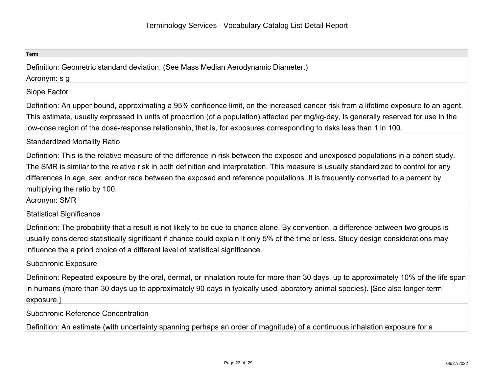| <b>Term</b>                                                                                                                                                                                                                                                                                                                                                                                                                                                      |
|------------------------------------------------------------------------------------------------------------------------------------------------------------------------------------------------------------------------------------------------------------------------------------------------------------------------------------------------------------------------------------------------------------------------------------------------------------------|
| Definition: Geometric standard deviation. (See Mass Median Aerodynamic Diameter.)<br>Acronym: s g                                                                                                                                                                                                                                                                                                                                                                |
| Slope Factor                                                                                                                                                                                                                                                                                                                                                                                                                                                     |
| Definition: An upper bound, approximating a 95% confidence limit, on the increased cancer risk from a lifetime exposure to an agent.<br>This estimate, usually expressed in units of proportion (of a population) affected per mg/kg-day, is generally reserved for use in the<br>low-dose region of the dose-response relationship, that is, for exposures corresponding to risks less than 1 in 100.                                                           |
| <b>Standardized Mortality Ratio</b>                                                                                                                                                                                                                                                                                                                                                                                                                              |
| Definition: This is the relative measure of the difference in risk between the exposed and unexposed populations in a cohort study.<br>The SMR is similar to the relative risk in both definition and interpretation. This measure is usually standardized to control for any<br>differences in age, sex, and/or race between the exposed and reference populations. It is frequently converted to a percent by<br>multiplying the ratio by 100.<br>Acronym: SMR |
| <b>Statistical Significance</b>                                                                                                                                                                                                                                                                                                                                                                                                                                  |
| Definition: The probability that a result is not likely to be due to chance alone. By convention, a difference between two groups is<br>usually considered statistically significant if chance could explain it only 5% of the time or less. Study design considerations may<br>influence the a priori choice of a different level of statistical significance.                                                                                                  |
| Subchronic Exposure                                                                                                                                                                                                                                                                                                                                                                                                                                              |
| Definition: Repeated exposure by the oral, dermal, or inhalation route for more than 30 days, up to approximately 10% of the life span<br>in humans (more than 30 days up to approximately 90 days in typically used laboratory animal species). [See also longer-term<br> exposure.]                                                                                                                                                                            |
| Subchronic Reference Concentration                                                                                                                                                                                                                                                                                                                                                                                                                               |
| Definition: An estimate (with uncertainty spanning perhaps an order of magnitude) of a continuous inhalation exposure for a                                                                                                                                                                                                                                                                                                                                      |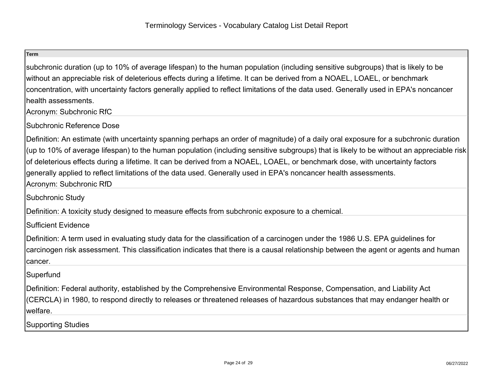subchronic duration (up to 10% of average lifespan) to the human population (including sensitive subgroups) that is likely to bewithout an appreciable risk of deleterious effects during a lifetime. It can be derived from a NOAEL, LOAEL, or benchmarkconcentration, with uncertainty factors generally applied to reflect limitations of the data used. Generally used in EPA's noncancerhealth assessments.

Acronym: Subchronic RfC

Subchronic Reference Dose

Definition: An estimate (with uncertainty spanning perhaps an order of magnitude) of a daily oral exposure for a subchronic duration (up to 10% of average lifespan) to the human population (including sensitive subgroups) that is likely to be without an appreciable riskof deleterious effects during a lifetime. It can be derived from a NOAEL, LOAEL, or benchmark dose, with uncertainty factorsgenerally applied to reflect limitations of the data used. Generally used in EPA's noncancer health assessments.Acronym: Subchronic RfD

Subchronic Study

Definition: A toxicity study designed to measure effects from subchronic exposure to a chemical.

Sufficient Evidence

Definition: A term used in evaluating study data for the classification of a carcinogen under the 1986 U.S. EPA guidelines forcarcinogen risk assessment. This classification indicates that there is a causal relationship between the agent or agents and humancancer.

# **Superfund**

Definition: Federal authority, established by the Comprehensive Environmental Response, Compensation, and Liability Act(CERCLA) in 1980, to respond directly to releases or threatened releases of hazardous substances that may endanger health orwelfare.

Supporting Studies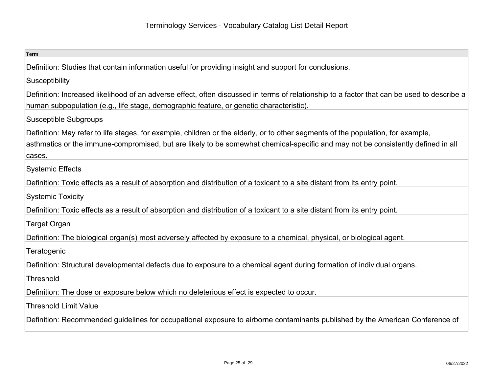| <b>Term</b>                                                                                                                                                                                                                                                                    |
|--------------------------------------------------------------------------------------------------------------------------------------------------------------------------------------------------------------------------------------------------------------------------------|
| Definition: Studies that contain information useful for providing insight and support for conclusions.                                                                                                                                                                         |
| Susceptibility                                                                                                                                                                                                                                                                 |
| Definition: Increased likelihood of an adverse effect, often discussed in terms of relationship to a factor that can be used to describe a<br>human subpopulation (e.g., life stage, demographic feature, or genetic characteristic).                                          |
| Susceptible Subgroups                                                                                                                                                                                                                                                          |
| Definition: May refer to life stages, for example, children or the elderly, or to other segments of the population, for example,<br>asthmatics or the immune-compromised, but are likely to be somewhat chemical-specific and may not be consistently defined in all<br>cases. |
| <b>Systemic Effects</b>                                                                                                                                                                                                                                                        |
| Definition: Toxic effects as a result of absorption and distribution of a toxicant to a site distant from its entry point.                                                                                                                                                     |
| Systemic Toxicity                                                                                                                                                                                                                                                              |
| Definition: Toxic effects as a result of absorption and distribution of a toxicant to a site distant from its entry point.                                                                                                                                                     |
| Target Organ                                                                                                                                                                                                                                                                   |
| Definition: The biological organ(s) most adversely affected by exposure to a chemical, physical, or biological agent.                                                                                                                                                          |
| Teratogenic                                                                                                                                                                                                                                                                    |
| Definition: Structural developmental defects due to exposure to a chemical agent during formation of individual organs.                                                                                                                                                        |
| Threshold                                                                                                                                                                                                                                                                      |
| Definition: The dose or exposure below which no deleterious effect is expected to occur.                                                                                                                                                                                       |
| <b>Threshold Limit Value</b>                                                                                                                                                                                                                                                   |
| Definition: Recommended guidelines for occupational exposure to airborne contaminants published by the American Conference of                                                                                                                                                  |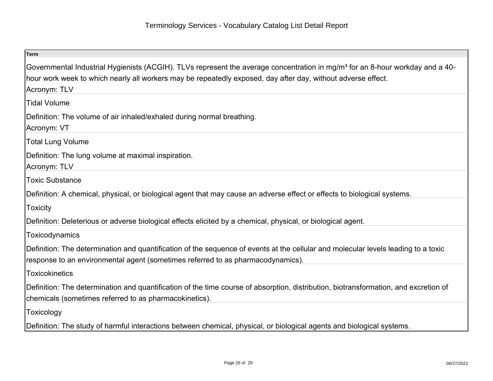| <b>Term</b>                                                                                                                                                                                                                                                               |
|---------------------------------------------------------------------------------------------------------------------------------------------------------------------------------------------------------------------------------------------------------------------------|
| Governmental Industrial Hygienists (ACGIH). TLVs represent the average concentration in mg/m <sup>3</sup> for an 8-hour workday and a 40-<br>hour work week to which nearly all workers may be repeatedly exposed, day after day, without adverse effect.<br>Acronym: TLV |
| <b>Tidal Volume</b>                                                                                                                                                                                                                                                       |
| Definition: The volume of air inhaled/exhaled during normal breathing.<br>Acronym: VT                                                                                                                                                                                     |
| <b>Total Lung Volume</b>                                                                                                                                                                                                                                                  |
| Definition: The lung volume at maximal inspiration.<br>Acronym: TLV                                                                                                                                                                                                       |
| <b>Toxic Substance</b>                                                                                                                                                                                                                                                    |
| Definition: A chemical, physical, or biological agent that may cause an adverse effect or effects to biological systems.                                                                                                                                                  |
| <b>Toxicity</b>                                                                                                                                                                                                                                                           |
| Definition: Deleterious or adverse biological effects elicited by a chemical, physical, or biological agent.                                                                                                                                                              |
| Toxicodynamics                                                                                                                                                                                                                                                            |
| Definition: The determination and quantification of the sequence of events at the cellular and molecular levels leading to a toxic<br>response to an environmental agent (sometimes referred to as pharmacodynamics).                                                     |
| <b>Toxicokinetics</b>                                                                                                                                                                                                                                                     |
| Definition: The determination and quantification of the time course of absorption, distribution, biotransformation, and excretion of<br>chemicals (sometimes referred to as pharmacokinetics).                                                                            |
| Toxicology                                                                                                                                                                                                                                                                |
| Definition: The study of harmful interactions between chemical, physical, or biological agents and biological systems.                                                                                                                                                    |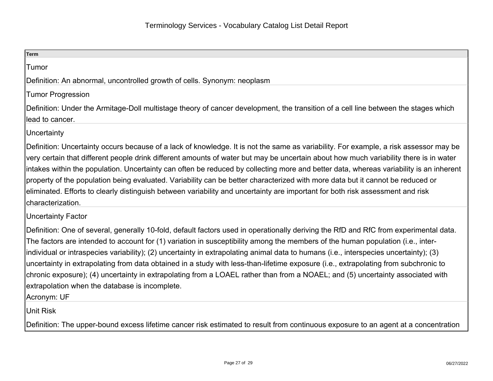| Term                                                                                                                                                                                                                                                                                                                                                                                                                                                                                                                                                                                                                                                                                                                                                        |
|-------------------------------------------------------------------------------------------------------------------------------------------------------------------------------------------------------------------------------------------------------------------------------------------------------------------------------------------------------------------------------------------------------------------------------------------------------------------------------------------------------------------------------------------------------------------------------------------------------------------------------------------------------------------------------------------------------------------------------------------------------------|
| Tumor                                                                                                                                                                                                                                                                                                                                                                                                                                                                                                                                                                                                                                                                                                                                                       |
| Definition: An abnormal, uncontrolled growth of cells. Synonym: neoplasm                                                                                                                                                                                                                                                                                                                                                                                                                                                                                                                                                                                                                                                                                    |
| Tumor Progression                                                                                                                                                                                                                                                                                                                                                                                                                                                                                                                                                                                                                                                                                                                                           |
| Definition: Under the Armitage-Doll multistage theory of cancer development, the transition of a cell line between the stages which                                                                                                                                                                                                                                                                                                                                                                                                                                                                                                                                                                                                                         |
| llead to cancer.                                                                                                                                                                                                                                                                                                                                                                                                                                                                                                                                                                                                                                                                                                                                            |
| Uncertainty                                                                                                                                                                                                                                                                                                                                                                                                                                                                                                                                                                                                                                                                                                                                                 |
| Definition: Uncertainty occurs because of a lack of knowledge. It is not the same as variability. For example, a risk assessor may be<br>very certain that different people drink different amounts of water but may be uncertain about how much variability there is in water<br>intakes within the population. Uncertainty can often be reduced by collecting more and better data, whereas variability is an inherent<br>property of the population being evaluated. Variability can be better characterized with more data but it cannot be reduced or<br>eliminated. Efforts to clearly distinguish between variability and uncertainty are important for both risk assessment and risk<br>characterization.                                           |
| Uncertainty Factor                                                                                                                                                                                                                                                                                                                                                                                                                                                                                                                                                                                                                                                                                                                                          |
| Definition: One of several, generally 10-fold, default factors used in operationally deriving the RfD and RfC from experimental data.<br>The factors are intended to account for (1) variation in susceptibility among the members of the human population (i.e., inter-<br>individual or intraspecies variability); (2) uncertainty in extrapolating animal data to humans (i.e., interspecies uncertainty); (3)<br>uncertainty in extrapolating from data obtained in a study with less-than-lifetime exposure (i.e., extrapolating from subchronic to<br>chronic exposure); (4) uncertainty in extrapolating from a LOAEL rather than from a NOAEL; and (5) uncertainty associated with<br>extrapolation when the database is incomplete.<br>Acronym: UF |
| Unit Risk                                                                                                                                                                                                                                                                                                                                                                                                                                                                                                                                                                                                                                                                                                                                                   |

Definition: The upper-bound excess lifetime cancer risk estimated to result from continuous exposure to an agent at a concentration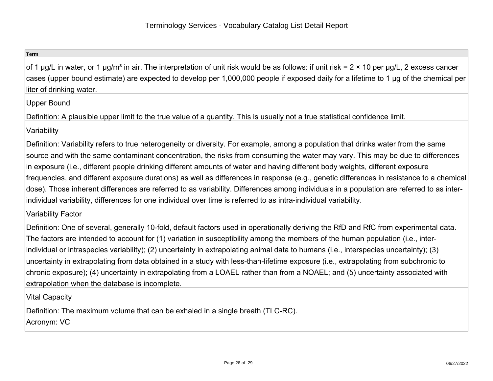of 1 µg/L in water, or 1 µg/m<sup>3</sup> in air. The interpretation of unit risk would be as follows: if unit risk =  $2 \times 10$  per µg/L, 2 excess cancer cases (upper bound estimate) are expected to develop per 1,000,000 people if exposed daily for a lifetime to 1 µg of the chemical perliter of drinking water.

Upper Bound

Definition: A plausible upper limit to the true value of a quantity. This is usually not a true statistical confidence limit.

**Variability** 

Definition: Variability refers to true heterogeneity or diversity. For example, among a population that drinks water from the samesource and with the same contaminant concentration, the risks from consuming the water may vary. This may be due to differencesin exposure (i.e., different people drinking different amounts of water and having different body weights, different exposurefrequencies, and different exposure durations) as well as differences in response (e.g., genetic differences in resistance to a chemicaldose). Those inherent differences are referred to as variability. Differences among individuals in a population are referred to as interindividual variability, differences for one individual over time is referred to as intra-individual variability.

Variability Factor

Definition: One of several, generally 10-fold, default factors used in operationally deriving the RfD and RfC from experimental data.The factors are intended to account for (1) variation in susceptibility among the members of the human population (i.e., interindividual or intraspecies variability); (2) uncertainty in extrapolating animal data to humans (i.e., interspecies uncertainty); (3)uncertainty in extrapolating from data obtained in a study with less-than-lifetime exposure (i.e., extrapolating from subchronic to chronic exposure); (4) uncertainty in extrapolating from a LOAEL rather than from a NOAEL; and (5) uncertainty associated withextrapolation when the database is incomplete.

Vital Capacity

Definition: The maximum volume that can be exhaled in a single breath (TLC-RC).Acronym: VC